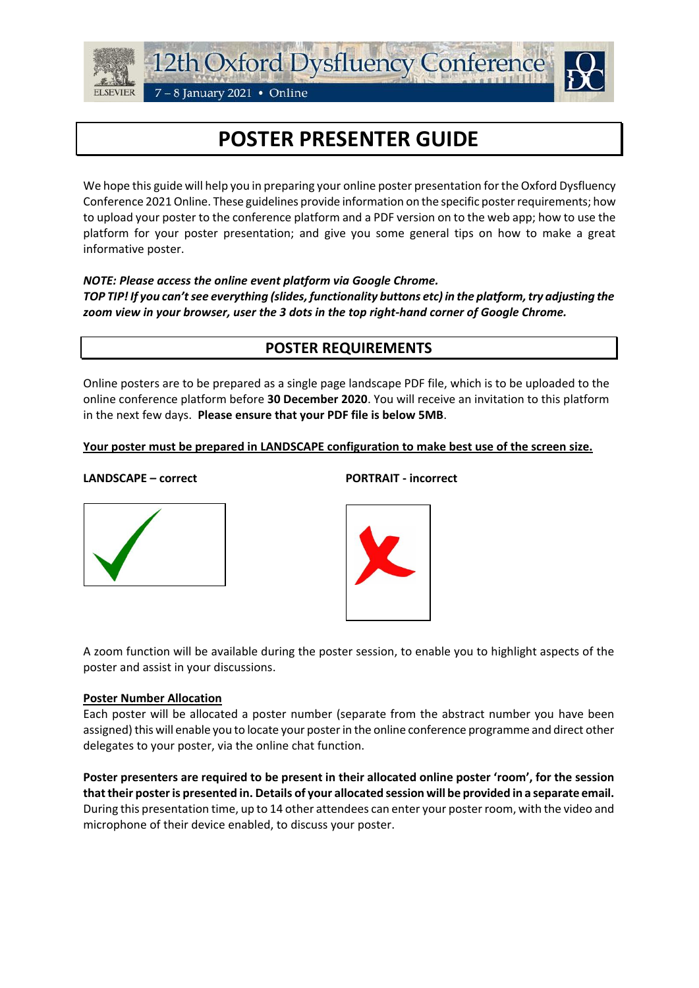



# **POSTER PRESENTER GUIDE**

We hope this guide will help you in preparing your online poster presentation forthe Oxford Dysfluency Conference 2021 Online. These guidelines provide information on the specific poster requirements; how to upload your poster to the conference platform and a PDF version on to the web app; how to use the platform for your poster presentation; and give you some general tips on how to make a great informative poster.

## *NOTE: Please access the online event platform via Google Chrome.*

*TOP TIP! If you can't see everything (slides, functionality buttons etc) in the platform, try adjusting the zoom view in your browser, user the 3 dots in the top right-hand corner of Google Chrome.*

# **POSTER REQUIREMENTS**

Online posters are to be prepared as a single page landscape PDF file, which is to be uploaded to the online conference platform before **30 December 2020**. You will receive an invitation to this platform in the next few days. **Please ensure that your PDF file is below 5MB**.

## **Your poster must be prepared in LANDSCAPE configuration to make best use of the screen size.**

### **LANDSCAPE – correct PORTRAIT - incorrect**





A zoom function will be available during the poster session, to enable you to highlight aspects of the poster and assist in your discussions.

## **Poster Number Allocation**

Each poster will be allocated a poster number (separate from the abstract number you have been assigned) this will enable you to locate your poster in the online conference programme and direct other delegates to your poster, via the online chat function.

**Poster presenters are required to be present in their allocated online poster 'room', for the session that their poster is presented in. Details of your allocated session will be provided in a separate email.** During this presentation time, up to 14 other attendees can enter your poster room, with the video and microphone of their device enabled, to discuss your poster.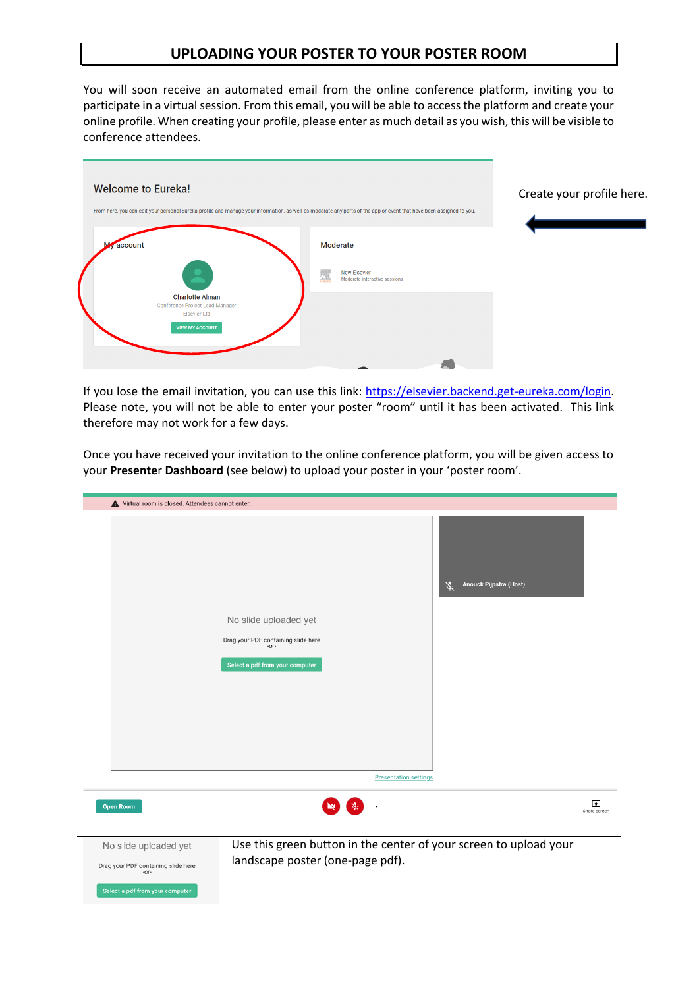## **UPLOADING YOUR POSTER TO YOUR POSTER ROOM**

You will soon receive an automated email from the online conference platform, inviting you to participate in a virtual session. From this email, you will be able to access the platform and create your online profile. When creating your profile, please enter as much detail as you wish, this will be visible to conference attendees.



If you lose the email invitation, you can use this link: [https://elsevier.backend.get-eureka.com/login.](https://elsevier.backend.get-eureka.com/login) Please note, you will not be able to enter your poster "room" until it has been activated. This link therefore may not work for a few days.

Once you have received your invitation to the online conference platform, you will be given access to your **Presente**r **Dashboard** (see below) to upload your poster in your 'poster room'.

| Virtual room is closed. Attendees cannot enter. |                                                                                                            |                              |                                                                   |                                |
|-------------------------------------------------|------------------------------------------------------------------------------------------------------------|------------------------------|-------------------------------------------------------------------|--------------------------------|
|                                                 | No slide uploaded yet<br>Drag your PDF containing slide here<br>$-OT -$<br>Select a pdf from your computer |                              | Anouck Pijpstra (Host)<br>义                                       |                                |
|                                                 |                                                                                                            | <b>Presentation settings</b> |                                                                   |                                |
|                                                 |                                                                                                            |                              |                                                                   |                                |
| <b>Open Room</b>                                |                                                                                                            |                              |                                                                   | $\blacksquare$<br>Share screen |
|                                                 |                                                                                                            |                              |                                                                   |                                |
| No slide uploaded yet                           |                                                                                                            |                              | Use this green button in the center of your screen to upload your |                                |
| Drag your PDF containing slide here<br>$-0f -$  | landscape poster (one-page pdf).                                                                           |                              |                                                                   |                                |
| Select a pdf from your computer                 |                                                                                                            |                              |                                                                   |                                |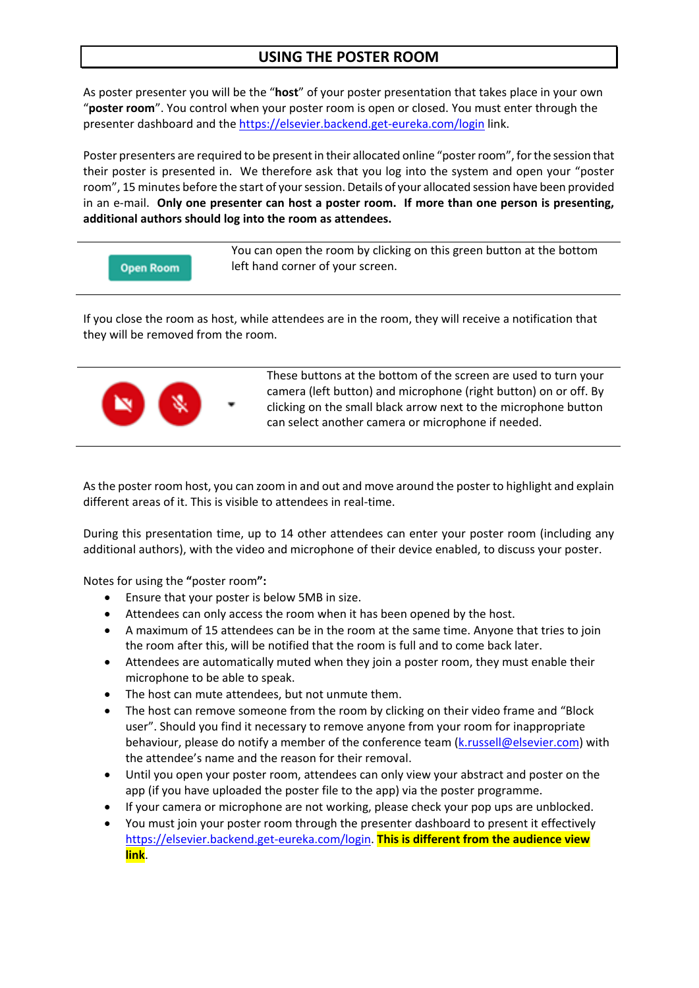# **USING THE POSTER ROOM**

As poster presenter you will be the "**host**" of your poster presentation that takes place in your own "**poster room**". You control when your poster room is open or closed. You must enter through the presenter dashboard and the <https://elsevier.backend.get-eureka.com/login> link.

Poster presenters are required to be present in their allocated online "poster room", for the session that their poster is presented in. We therefore ask that you log into the system and open your "poster room", 15 minutes before the start of your session. Details of your allocated session have been provided in an e-mail. **Only one presenter can host a poster room. If more than one person is presenting, additional authors should log into the room as attendees.**

```
Open Room
```
You can open the room by clicking on this green button at the bottom left hand corner of your screen.

If you close the room as host, while attendees are in the room, they will receive a notification that they will be removed from the room.



These buttons at the bottom of the screen are used to turn your camera (left button) and microphone (right button) on or off. By clicking on the small black arrow next to the microphone button can select another camera or microphone if needed.

As the poster room host, you can zoom in and out and move around the poster to highlight and explain different areas of it. This is visible to attendees in real-time.

During this presentation time, up to 14 other attendees can enter your poster room (including any additional authors), with the video and microphone of their device enabled, to discuss your poster.

Notes for using the **"**poster room**":**

- Ensure that your poster is below 5MB in size.
- Attendees can only access the room when it has been opened by the host.
- A maximum of 15 attendees can be in the room at the same time. Anyone that tries to join the room after this, will be notified that the room is full and to come back later.
- Attendees are automatically muted when they join a poster room, they must enable their microphone to be able to speak.
- The host can mute attendees, but not unmute them.
- The host can remove someone from the room by clicking on their video frame and "Block user". Should you find it necessary to remove anyone from your room for inappropriate behaviour, please do notify a member of the conference team [\(k.russell@elsevier.com\)](mailto:k.russell@elsevier.com) with the attendee's name and the reason for their removal.
- Until you open your poster room, attendees can only view your abstract and poster on the app (if you have uploaded the poster file to the app) via the poster programme.
- If your camera or microphone are not working, please check your pop ups are unblocked.
- You must join your poster room through the presenter dashboard to present it effectively [https://elsevier.backend.get-eureka.com/login.](https://elsevier.backend.get-eureka.com/login) **This is different from the audience view link**.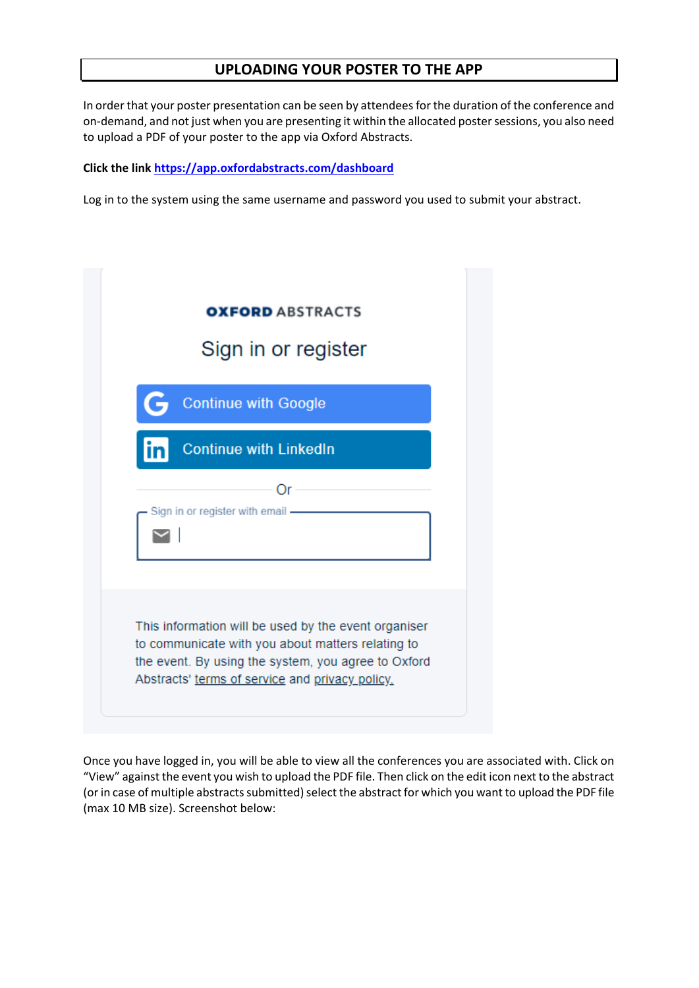## **UPLOADING YOUR POSTER TO THE APP**

In order that your poster presentation can be seen by attendees for the duration of the conference and on-demand, and not just when you are presenting it within the allocated poster sessions, you also need to upload a PDF of your poster to the app via Oxford Abstracts.

#### **Click the link <https://app.oxfordabstracts.com/dashboard>**

Log in to the system using the same username and password you used to submit your abstract.

| <b>OXFORD ABSTRACTS</b><br>Sign in or register                                                                                                                                                                      |
|---------------------------------------------------------------------------------------------------------------------------------------------------------------------------------------------------------------------|
| <b>Continue with Google</b>                                                                                                                                                                                         |
| <b>Continue with LinkedIn</b>                                                                                                                                                                                       |
| Οr<br>Sign in or register with email -                                                                                                                                                                              |
| This information will be used by the event organiser<br>to communicate with you about matters relating to<br>the event. By using the system, you agree to Oxford<br>Abstracts' terms of service and privacy policy. |

Once you have logged in, you will be able to view all the conferences you are associated with. Click on "View" against the event you wish to upload the PDF file. Then click on the edit icon next to the abstract (or in case of multiple abstracts submitted) select the abstract for which you want to upload the PDF file (max 10 MB size). Screenshot below: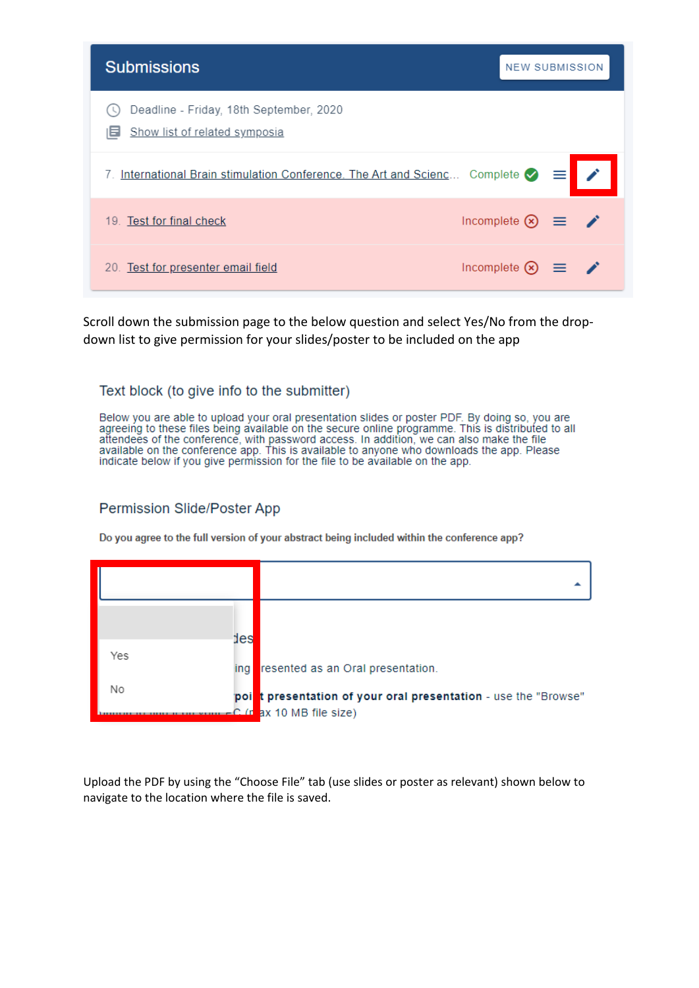| <b>Submissions</b>                                                                   | <b>NEW SUBMISSION</b>                                     |  |
|--------------------------------------------------------------------------------------|-----------------------------------------------------------|--|
| Deadline - Friday, 18th September, 2020<br>Show list of related symposia             |                                                           |  |
| International Brain stimulation Conference. The Art and Scienc Complete $\bigcirc$ = |                                                           |  |
| 19. Test for final check                                                             | Incomplete $\otimes \equiv \bullet$                       |  |
| 20. Test for presenter email field                                                   | Incomplete $\left( \infty \right)$ $\equiv$ $\rightarrow$ |  |

Scroll down the submission page to the below question and select Yes/No from the dropdown list to give permission for your slides/poster to be included on the app

## Text block (to give info to the submitter)

Below you are able to upload your oral presentation slides or poster PDF. By doing so, you are agreeing to these files being available on the secure online programme. This is distributed to all attendees of the conference, with password access. In addition, we can also make the file available on the conference app. This is available to anyone who downloads the app. Please indicate below if you give permission for the file to be available on the app.

## Permission Slide/Poster App

Do you agree to the full version of your abstract being included within the conference app?

|     | des |                                                                                             |
|-----|-----|---------------------------------------------------------------------------------------------|
| Yes | ing | resented as an Oral presentation.                                                           |
| No  |     | point presentation of your oral presentation - use the "Browse"<br>C (n ax 10 MB file size) |

Upload the PDF by using the "Choose File" tab (use slides or poster as relevant) shown below to navigate to the location where the file is saved.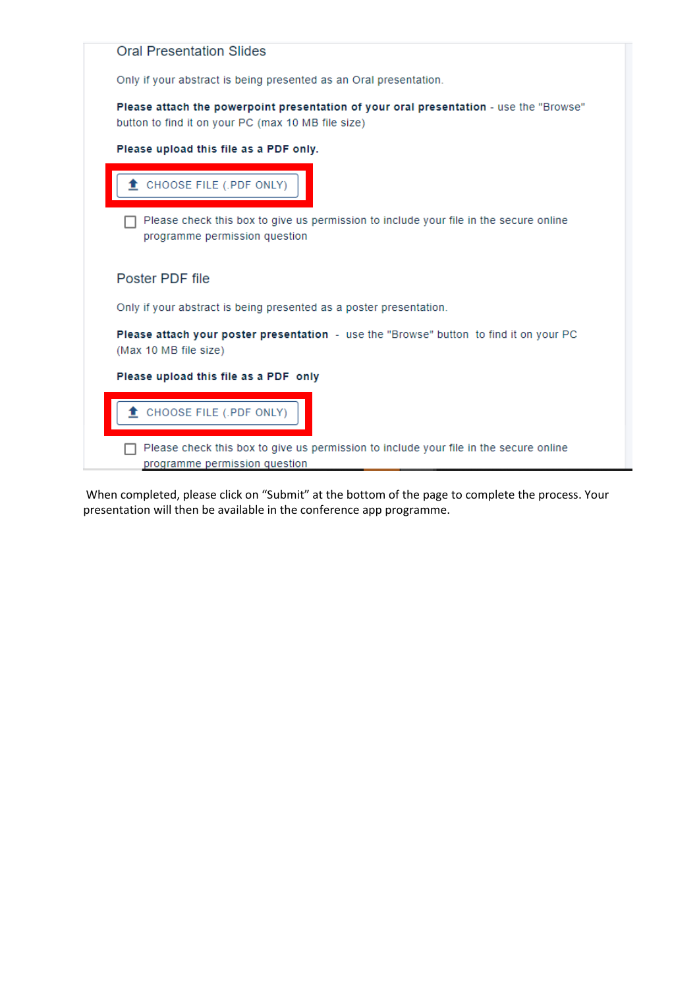| <b>Oral Presentation Slides</b> |                                                                                                                                              |
|---------------------------------|----------------------------------------------------------------------------------------------------------------------------------------------|
|                                 | Only if your abstract is being presented as an Oral presentation.                                                                            |
|                                 | Please attach the powerpoint presentation of your oral presentation - use the "Browse"<br>button to find it on your PC (max 10 MB file size) |
|                                 | Please upload this file as a PDF only.                                                                                                       |
|                                 | CHOOSE FILE (.PDF ONLY)                                                                                                                      |
|                                 | Please check this box to give us permission to include your file in the secure online<br>programme permission question                       |
| Poster PDF file                 |                                                                                                                                              |
|                                 | Only if your abstract is being presented as a poster presentation.                                                                           |
| (Max 10 MB file size)           | Please attach your poster presentation - use the "Browse" button to find it on your PC                                                       |
|                                 | Please upload this file as a PDF only                                                                                                        |
|                                 | CHOOSE FILE (.PDF ONLY)                                                                                                                      |
|                                 | Please check this box to give us permission to include your file in the secure online                                                        |
|                                 | programme permission question                                                                                                                |

When completed, please click on "Submit" at the bottom of the page to complete the process. Your presentation will then be available in the conference app programme.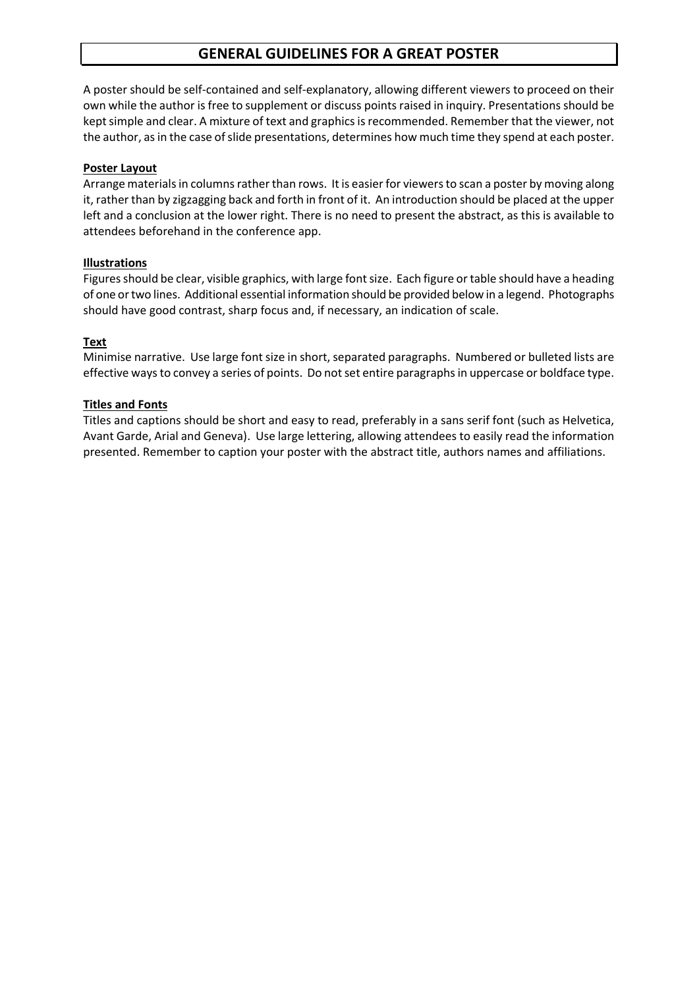# **GENERAL GUIDELINES FOR A GREAT POSTER**

A poster should be self-contained and self-explanatory, allowing different viewers to proceed on their own while the author is free to supplement or discuss points raised in inquiry. Presentations should be kept simple and clear. A mixture of text and graphics isrecommended. Remember that the viewer, not the author, as in the case of slide presentations, determines how much time they spend at each poster.

## **Poster Layout**

Arrange materials in columns rather than rows. It is easier for viewers to scan a poster by moving along it, rather than by zigzagging back and forth in front of it. An introduction should be placed at the upper left and a conclusion at the lower right. There is no need to present the abstract, as this is available to attendees beforehand in the conference app.

### **Illustrations**

Figures should be clear, visible graphics, with large font size. Each figure or table should have a heading of one or two lines. Additional essential information should be provided below in a legend. Photographs should have good contrast, sharp focus and, if necessary, an indication of scale.

### **Text**

Minimise narrative. Use large font size in short, separated paragraphs. Numbered or bulleted lists are effective waysto convey a series of points. Do not set entire paragraphs in uppercase or boldface type.

### **Titles and Fonts**

Titles and captions should be short and easy to read, preferably in a sans serif font (such as Helvetica, Avant Garde, Arial and Geneva). Use large lettering, allowing attendees to easily read the information presented. Remember to caption your poster with the abstract title, authors names and affiliations.